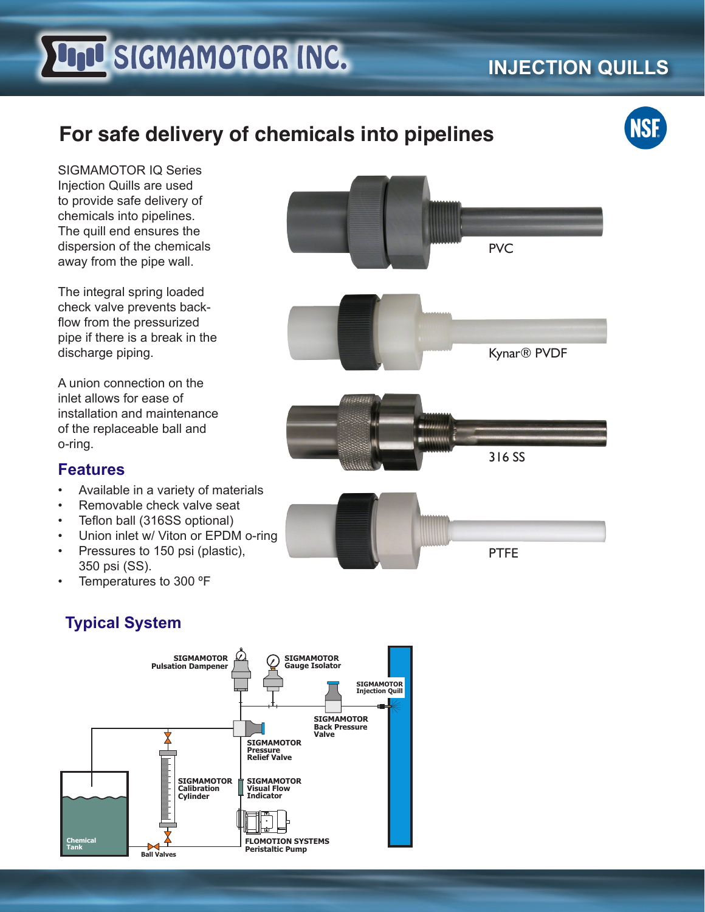# **FILLI SIGMAMOTOR INC.**

## **INJECTION QUILLS**

## **For safe delivery of chemicals into pipelines**



SIGMAMOTOR IQ Series Injection Quills are used to provide safe delivery of chemicals into pipelines. The quill end ensures the dispersion of the chemicals away from the pipe wall.

The integral spring loaded check valve prevents backflow from the pressurized pipe if there is a break in the discharge piping.

A union connection on the inlet allows for ease of installation and maintenance of the replaceable ball and o-ring.

#### **Features**

- Available in a variety of materials
- Removable check valve seat
- Teflon ball (316SS optional)
- Union inlet w/ Viton or EPDM o-ring
- Pressures to 150 psi (plastic), 350 psi (SS).
- Temperatures to 300 ºF

### **Typical System**





Kynar® PVDF